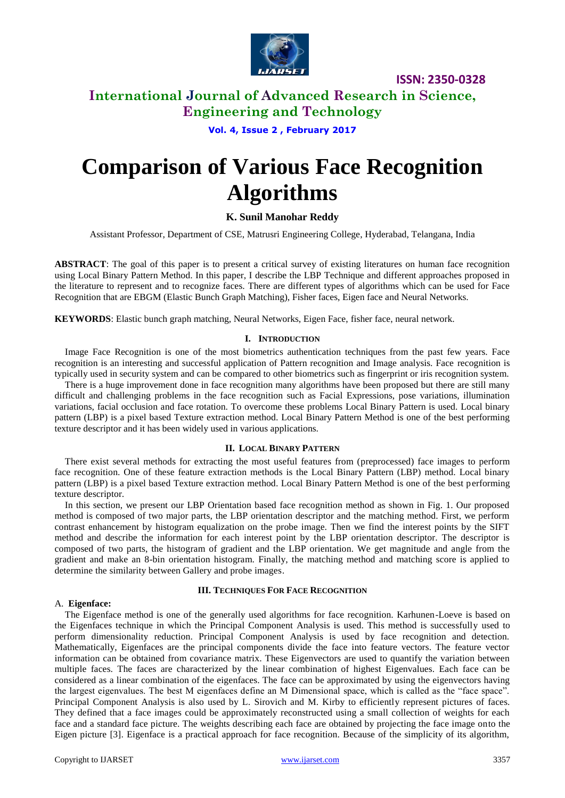

**ISSN: 2350-0328**

# **International Journal of Advanced Research in Science, Engineering and Technology**

### **Vol. 4, Issue 2 , February 2017**

# **Comparison of Various Face Recognition Algorithms**

**K. Sunil Manohar Reddy** 

Assistant Professor, Department of CSE, Matrusri Engineering College, Hyderabad, Telangana, India

**ABSTRACT**: The goal of this paper is to present a critical survey of existing literatures on human face recognition using Local Binary Pattern Method. In this paper, I describe the LBP Technique and different approaches proposed in the literature to represent and to recognize faces. There are different types of algorithms which can be used for Face Recognition that are EBGM (Elastic Bunch Graph Matching), Fisher faces, Eigen face and Neural Networks.

**KEYWORDS**: Elastic bunch graph matching, Neural Networks, Eigen Face, fisher face, neural network.

### **I. INTRODUCTION**

Image Face Recognition is one of the most biometrics authentication techniques from the past few years. Face recognition is an interesting and successful application of Pattern recognition and Image analysis. Face recognition is typically used in security system and can be compared to other biometrics such as fingerprint or iris recognition system.

There is a huge improvement done in face recognition many algorithms have been proposed but there are still many difficult and challenging problems in the face recognition such as Facial Expressions, pose variations, illumination variations, facial occlusion and face rotation. To overcome these problems Local Binary Pattern is used. Local binary pattern (LBP) is a pixel based Texture extraction method. Local Binary Pattern Method is one of the best performing texture descriptor and it has been widely used in various applications.

### **II. LOCAL BINARY PATTERN**

There exist several methods for extracting the most useful features from (preprocessed) face images to perform face recognition. One of these feature extraction methods is the Local Binary Pattern (LBP) method. Local binary pattern (LBP) is a pixel based Texture extraction method. Local Binary Pattern Method is one of the best performing texture descriptor.

In this section, we present our LBP Orientation based face recognition method as shown in Fig. 1. Our proposed method is composed of two major parts, the LBP orientation descriptor and the matching method. First, we perform contrast enhancement by histogram equalization on the probe image. Then we find the interest points by the SIFT method and describe the information for each interest point by the LBP orientation descriptor. The descriptor is composed of two parts, the histogram of gradient and the LBP orientation. We get magnitude and angle from the gradient and make an 8-bin orientation histogram. Finally, the matching method and matching score is applied to determine the similarity between Gallery and probe images.

### **III. TECHNIQUES FOR FACE RECOGNITION**

### A. **Eigenface:**

The Eigenface method is one of the generally used algorithms for face recognition. Karhunen-Loeve is based on the Eigenfaces technique in which the Principal Component Analysis is used. This method is successfully used to perform dimensionality reduction. Principal Component Analysis is used by face recognition and detection. Mathematically, Eigenfaces are the principal components divide the face into feature vectors. The feature vector information can be obtained from covariance matrix. These Eigenvectors are used to quantify the variation between multiple faces. The faces are characterized by the linear combination of highest Eigenvalues. Each face can be considered as a linear combination of the eigenfaces. The face can be approximated by using the eigenvectors having the largest eigenvalues. The best M eigenfaces define an M Dimensional space, which is called as the "face space". Principal Component Analysis is also used by L. Sirovich and M. Kirby to efficiently represent pictures of faces. They defined that a face images could be approximately reconstructed using a small collection of weights for each face and a standard face picture. The weights describing each face are obtained by projecting the face image onto the Eigen picture [3]. Eigenface is a practical approach for face recognition. Because of the simplicity of its algorithm,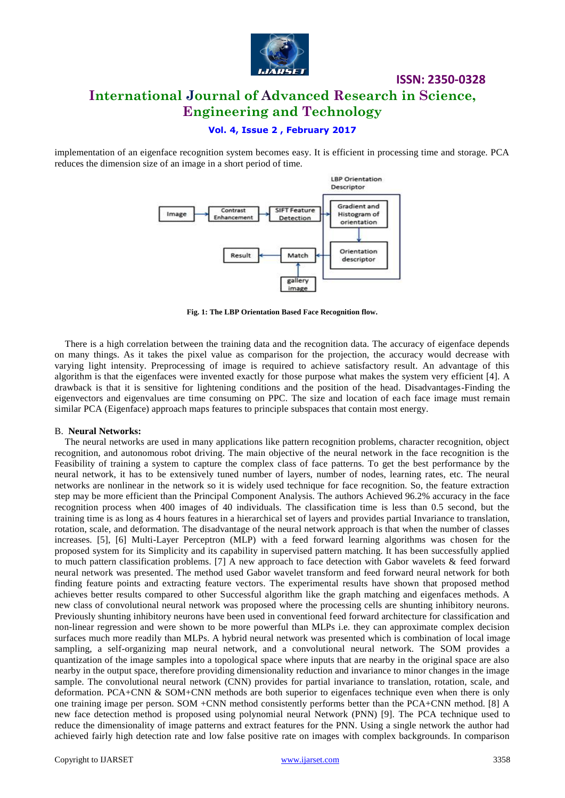

# **ISSN: 2350-0328 International Journal of Advanced Research in Science, Engineering and Technology**

## **Vol. 4, Issue 2 , February 2017**

implementation of an eigenface recognition system becomes easy. It is efficient in processing time and storage. PCA reduces the dimension size of an image in a short period of time.



**Fig. 1: The LBP Orientation Based Face Recognition flow.**

There is a high correlation between the training data and the recognition data. The accuracy of eigenface depends on many things. As it takes the pixel value as comparison for the projection, the accuracy would decrease with varying light intensity. Preprocessing of image is required to achieve satisfactory result. An advantage of this algorithm is that the eigenfaces were invented exactly for those purpose what makes the system very efficient [4]. A drawback is that it is sensitive for lightening conditions and the position of the head. Disadvantages-Finding the eigenvectors and eigenvalues are time consuming on PPC. The size and location of each face image must remain similar PCA (Eigenface) approach maps features to principle subspaces that contain most energy.

### B. **Neural Networks:**

The neural networks are used in many applications like pattern recognition problems, character recognition, object recognition, and autonomous robot driving. The main objective of the neural network in the face recognition is the Feasibility of training a system to capture the complex class of face patterns. To get the best performance by the neural network, it has to be extensively tuned number of layers, number of nodes, learning rates, etc. The neural networks are nonlinear in the network so it is widely used technique for face recognition. So, the feature extraction step may be more efficient than the Principal Component Analysis. The authors Achieved 96.2% accuracy in the face recognition process when 400 images of 40 individuals. The classification time is less than 0.5 second, but the training time is as long as 4 hours features in a hierarchical set of layers and provides partial Invariance to translation, rotation, scale, and deformation. The disadvantage of the neural network approach is that when the number of classes increases. [5], [6] Multi-Layer Perceptron (MLP) with a feed forward learning algorithms was chosen for the proposed system for its Simplicity and its capability in supervised pattern matching. It has been successfully applied to much pattern classification problems. [7] A new approach to face detection with Gabor wavelets & feed forward neural network was presented. The method used Gabor wavelet transform and feed forward neural network for both finding feature points and extracting feature vectors. The experimental results have shown that proposed method achieves better results compared to other Successful algorithm like the graph matching and eigenfaces methods. A new class of convolutional neural network was proposed where the processing cells are shunting inhibitory neurons. Previously shunting inhibitory neurons have been used in conventional feed forward architecture for classification and non-linear regression and were shown to be more powerful than MLPs i.e. they can approximate complex decision surfaces much more readily than MLPs. A hybrid neural network was presented which is combination of local image sampling, a self-organizing map neural network, and a convolutional neural network. The SOM provides a quantization of the image samples into a topological space where inputs that are nearby in the original space are also nearby in the output space, therefore providing dimensionality reduction and invariance to minor changes in the image sample. The convolutional neural network (CNN) provides for partial invariance to translation, rotation, scale, and deformation. PCA+CNN & SOM+CNN methods are both superior to eigenfaces technique even when there is only one training image per person. SOM +CNN method consistently performs better than the PCA+CNN method. [8] A new face detection method is proposed using polynomial neural Network (PNN) [9]. The PCA technique used to reduce the dimensionality of image patterns and extract features for the PNN. Using a single network the author had achieved fairly high detection rate and low false positive rate on images with complex backgrounds. In comparison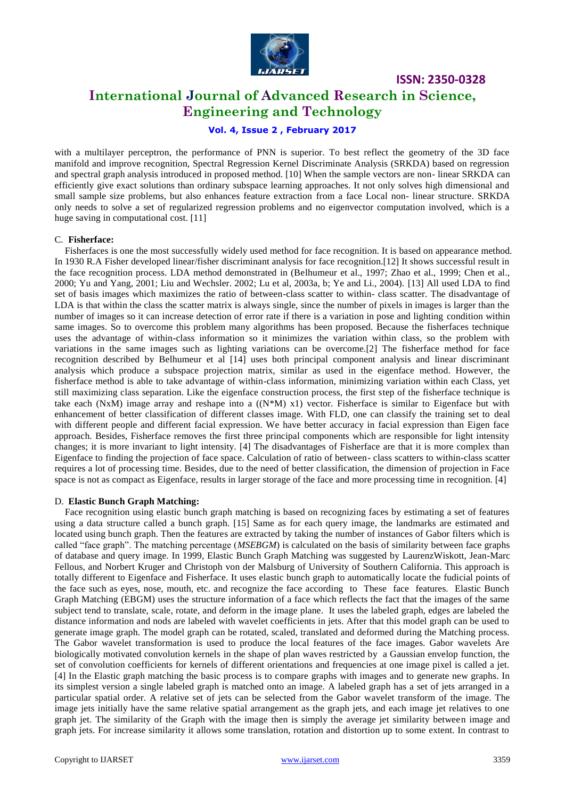

**ISSN: 2350-0328**

# **International Journal of Advanced Research in Science, Engineering and Technology**

### **Vol. 4, Issue 2 , February 2017**

with a multilayer perceptron, the performance of PNN is superior. To best reflect the geometry of the 3D face manifold and improve recognition, Spectral Regression Kernel Discriminate Analysis (SRKDA) based on regression and spectral graph analysis introduced in proposed method. [10] When the sample vectors are non- linear SRKDA can efficiently give exact solutions than ordinary subspace learning approaches. It not only solves high dimensional and small sample size problems, but also enhances feature extraction from a face Local non- linear structure. SRKDA only needs to solve a set of regularized regression problems and no eigenvector computation involved, which is a huge saving in computational cost. [11]

### C. **Fisherface:**

Fisherfaces is one the most successfully widely used method for face recognition. It is based on appearance method. In 1930 R.A Fisher developed linear/fisher discriminant analysis for face recognition.[12] It shows successful result in the face recognition process. LDA method demonstrated in (Belhumeur et al., 1997; Zhao et al., 1999; Chen et al., 2000; Yu and Yang, 2001; Liu and Wechsler. 2002; Lu et al, 2003a, b; Ye and Li., 2004). [13] All used LDA to find set of basis images which maximizes the ratio of between-class scatter to within- class scatter. The disadvantage of LDA is that within the class the scatter matrix is always single, since the number of pixels in images is larger than the number of images so it can increase detection of error rate if there is a variation in pose and lighting condition within same images. So to overcome this problem many algorithms has been proposed. Because the fisherfaces technique uses the advantage of within-class information so it minimizes the variation within class, so the problem with variations in the same images such as lighting variations can be overcome.[2] The fisherface method for face recognition described by Belhumeur et al [14] uses both principal component analysis and linear discriminant analysis which produce a subspace projection matrix, similar as used in the eigenface method. However, the fisherface method is able to take advantage of within-class information, minimizing variation within each Class, yet still maximizing class separation. Like the eigenface construction process, the first step of the fisherface technique is take each (NxM) image array and reshape into a  $((N*M) x1)$  vector. Fisherface is similar to Eigenface but with enhancement of better classification of different classes image. With FLD, one can classify the training set to deal with different people and different facial expression. We have better accuracy in facial expression than Eigen face approach. Besides, Fisherface removes the first three principal components which are responsible for light intensity changes; it is more invariant to light intensity. [4] The disadvantages of Fisherface are that it is more complex than Eigenface to finding the projection of face space. Calculation of ratio of between- class scatters to within-class scatter requires a lot of processing time. Besides, due to the need of better classification, the dimension of projection in Face space is not as compact as Eigenface, results in larger storage of the face and more processing time in recognition. [4]

### D. **Elastic Bunch Graph Matching:**

Face recognition using elastic bunch graph matching is based on recognizing faces by estimating a set of features using a data structure called a bunch graph. [15] Same as for each query image, the landmarks are estimated and located using bunch graph. Then the features are extracted by taking the number of instances of Gabor filters which is called "face graph". The matching percentage (*MSEBGM*) is calculated on the basis of similarity between face graphs of database and query image. In 1999, Elastic Bunch Graph Matching was suggested by LaurenzWiskott, Jean-Marc Fellous, and Norbert Kruger and Christoph von der Malsburg of University of Southern California. This approach is totally different to Eigenface and Fisherface. It uses elastic bunch graph to automatically locate the fudicial points of the face such as eyes, nose, mouth, etc. and recognize the face according to These face features. Elastic Bunch Graph Matching (EBGM) uses the structure information of a face which reflects the fact that the images of the same subject tend to translate, scale, rotate, and deform in the image plane. It uses the labeled graph, edges are labeled the distance information and nods are labeled with wavelet coefficients in jets. After that this model graph can be used to generate image graph. The model graph can be rotated, scaled, translated and deformed during the Matching process. The Gabor wavelet transformation is used to produce the local features of the face images. Gabor wavelets Are biologically motivated convolution kernels in the shape of plan waves restricted by a Gaussian envelop function, the set of convolution coefficients for kernels of different orientations and frequencies at one image pixel is called a jet. [4] In the Elastic graph matching the basic process is to compare graphs with images and to generate new graphs. In its simplest version a single labeled graph is matched onto an image. A labeled graph has a set of jets arranged in a particular spatial order. A relative set of jets can be selected from the Gabor wavelet transform of the image. The image jets initially have the same relative spatial arrangement as the graph jets, and each image jet relatives to one graph jet. The similarity of the Graph with the image then is simply the average jet similarity between image and graph jets. For increase similarity it allows some translation, rotation and distortion up to some extent. In contrast to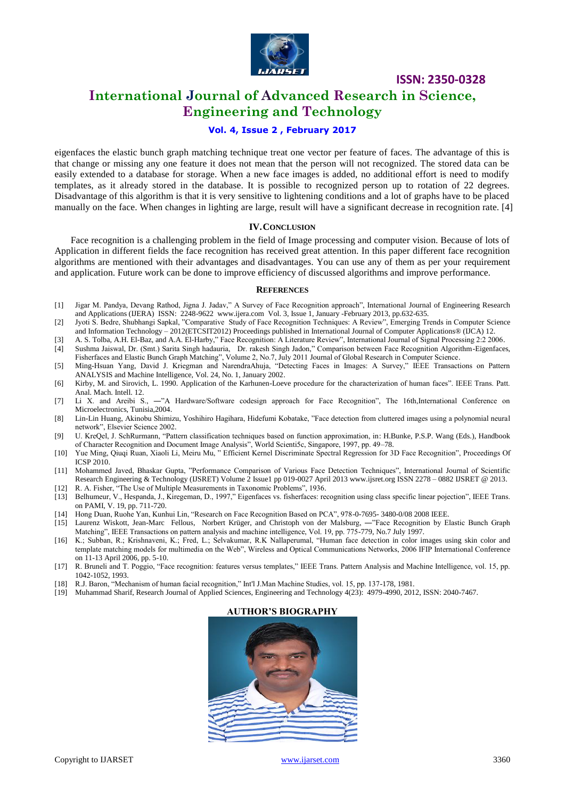

**ISSN: 2350-0328**

# **International Journal of Advanced Research in Science, Engineering and Technology**

### **Vol. 4, Issue 2 , February 2017**

eigenfaces the elastic bunch graph matching technique treat one vector per feature of faces. The advantage of this is that change or missing any one feature it does not mean that the person will not recognized. The stored data can be easily extended to a database for storage. When a new face images is added, no additional effort is need to modify templates, as it already stored in the database. It is possible to recognized person up to rotation of 22 degrees. Disadvantage of this algorithm is that it is very sensitive to lightening conditions and a lot of graphs have to be placed manually on the face. When changes in lighting are large, result will have a significant decrease in recognition rate. [4]

### **IV.CONCLUSION**

Face recognition is a challenging problem in the field of Image processing and computer vision. Because of lots of Application in different fields the face recognition has received great attention. In this paper different face recognition algorithms are mentioned with their advantages and disadvantages. You can use any of them as per your requirement and application. Future work can be done to improve efficiency of discussed algorithms and improve performance.

#### **REFERENCES**

- [1] Jigar M. Pandya, Devang Rathod, Jigna J. Jadav," A Survey of Face Recognition approach", International Journal of Engineering Research and Applications (IJERA) ISSN: 2248-9622 [www.ijera.com](http://www.ijera.com/) Vol. 3, Issue 1, January -February 2013, pp.632-635.
- [2] Jyoti S. Bedre, Shubhangi Sapkal, "Comparative Study of Face Recognition Techniques: A Review", Emerging Trends in Computer Science and Information Technology – 2012(ETCSIT2012) Proceedings published in International Journal of Computer Applications® (IJCA) 12.
- [3] A. S. Tolba, A.H. El-Baz, and A.A. El-Harby," Face Recognition: A Literature Review", International Journal of Signal Processing 2:2 2006.
- [4] Sushma Jaiswal, Dr. (Smt.) Sarita Singh hadauria, Dr. rakesh Singh Jadon," Comparison between Face Recognition Algorithm-Eigenfaces, Fisherfaces and Elastic Bunch Graph Matching", Volume 2, No.7, July 2011 Journal of Global Research in Computer Science.
- [5] Ming-Hsuan Yang, David J. Kriegman and NarendraAhuja, "Detecting Faces in Images: A Survey," IEEE Transactions on Pattern ANALYSIS and Machine Intelligence, Vol. 24, No. 1, January 2002.
- [6] Kirby, M. and Sirovich, L. 1990. Application of the Karhunen-Loeve procedure for the characterization of human faces". IEEE Trans. Patt. Anal. Mach. Intell. 12.
- [7] Li X. and Areibi S., ―"A Hardware/Software codesign approach for Face Recognition", The 16th,International Conference on Microelectronics, Tunisia,2004.
- [8] Lin-Lin Huang, Akinobu Shimizu, Yoshihiro Hagihara, Hidefumi Kobatake, "Face detection from cluttered images using a polynomial neural network", Elsevier Science 2002.
- [9] U. KreQel, J. SchRurmann, "Pattern classification techniques based on function approximation, in: H.Bunke, P.S.P. Wang (Eds.), Handbook of Character Recognition and Document Image Analysis", World Scienti5c, Singapore, 1997, pp. 49–78.
- [10] Yue Ming, Qiuqi Ruan, Xiaoli Li, Meiru Mu, " Efficient Kernel Discriminate Spectral Regression for 3D Face Recognition", Proceedings Of ICSP 2010.
- [11] Mohammed Javed, Bhaskar Gupta, "Performance Comparison of Various Face Detection Techniques", International Journal of Scientific Research Engineering & Technology (IJSRET) Volume 2 Issue1 pp 019-0027 April 201[3 www.ijsret.org](http://www.ijsret.org/) ISSN 2278 – 0882 IJSRET @ 2013.
- [12] R. A. Fisher, "The Use of Multiple Measurements in Taxonomic Problems", 1936.
- [13] Belhumeur, V., Hespanda, J., Kiregeman, D., 1997," Eigenfaces vs. fisherfaces: recognition using class specific linear pojection", IEEE Trans. on PAMI, V. 19, pp. 711-720.
- [14] Hong Duan, Ruohe Yan, Kunhui Lin, "Research on Face Recognition Based on PCA", 978-0-7695- 3480-0/08 2008 IEEE.
- [15] Laurenz Wiskott, Jean-Marc Fellous, Norbert Krüger, and Christoph von der Malsburg, ―"Face Recognition by Elastic Bunch Graph Matching", IEEE Transactions on pattern analysis and machine intelligence, Vol. 19, pp. 775-779, No.7 July 1997.
- [16] K.; Subban, R.; Krishnaveni, K.; Fred, L.; Selvakumar, R.K Nallaperumal, "Human face detection in color images using skin color and template matching models for multimedia on the Web", Wireless and Optical Communications Networks, 2006 IFIP International Conference on 11-13 April 2006, pp. 5-10.
- [17] R. Bruneli and T. Poggio, "Face recognition: features versus templates," IEEE Trans. Pattern Analysis and Machine Intelligence, vol. 15, pp. 1042-1052, 1993.
- [18] R.J. Baron, "Mechanism of human facial recognition," Int'l J.Man Machine Studies, vol. 15, pp. 137-178, 1981.
- [19] Muhammad Sharif, Research Journal of Applied Sciences, Engineering and Technology 4(23): 4979-4990, 2012, ISSN: 2040-7467.

#### **AUTHOR'S BIOGRAPHY**